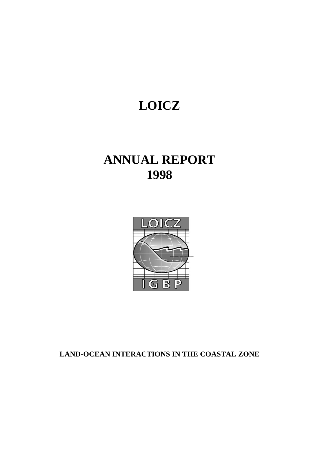# **LOICZ**

## **ANNUAL REPORT 1998**



**LAND-OCEAN INTERACTIONS IN THE COASTAL ZONE**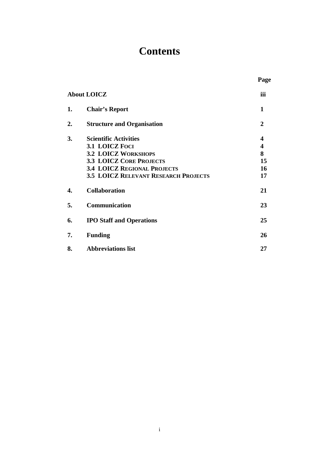## **Contents**

**Page**

|    | <b>About LOICZ</b>                          | iii            |
|----|---------------------------------------------|----------------|
| 1. | <b>Chair's Report</b>                       | 1              |
| 2. | <b>Structure and Organisation</b>           | $\overline{2}$ |
| 3. | <b>Scientific Activities</b>                | 4              |
|    | 3.1 LOICZ FOCI                              | 4              |
|    | <b>3.2 LOICZ WORKSHOPS</b>                  | 8              |
|    | <b>3.3 LOICZ CORE PROJECTS</b>              | 15             |
|    | <b>3.4 LOICZ REGIONAL PROJECTS</b>          | 16             |
|    | <b>3.5 LOICZ RELEVANT RESEARCH PROJECTS</b> | 17             |
| 4. | <b>Collaboration</b>                        | 21             |
| 5. | Communication                               | 23             |
| 6. | <b>IPO Staff and Operations</b>             | 25             |
| 7. | <b>Funding</b>                              | 26             |
| 8. | <b>Abbreviations list</b>                   | 27             |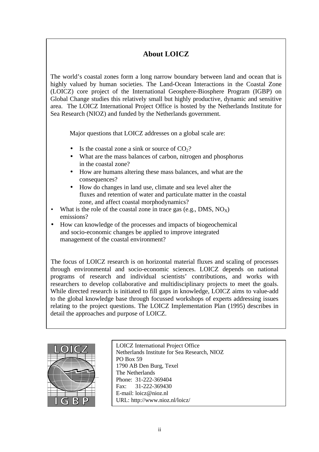## **About LOICZ**

The world's coastal zones form a long narrow boundary between land and ocean that is highly valued by human societies. The Land-Ocean Interactions in the Coastal Zone (LOICZ) core project of the International Geosphere-Biosphere Program (IGBP) on Global Change studies this relatively small but highly productive, dynamic and sensitive area. The LOICZ International Project Office is hosted by the Netherlands Institute for Sea Research (NIOZ) and funded by the Netherlands government.

Major questions that LOICZ addresses on a global scale are:

- Is the coastal zone a sink or source of  $CO<sub>2</sub>$ ?
- What are the mass balances of carbon, nitrogen and phosphorus in the coastal zone?
- How are humans altering these mass balances, and what are the consequences?
- How do changes in land use, climate and sea level alter the fluxes and retention of water and particulate matter in the coastal zone, and affect coastal morphodynamics?
- What is the role of the coastal zone in trace gas (e.g., DMS,  $NO_X$ ) emissions?
- How can knowledge of the processes and impacts of biogeochemical and socio-economic changes be applied to improve integrated management of the coastal environment?

The focus of LOICZ research is on horizontal material fluxes and scaling of processes through environmental and socio-economic sciences. LOICZ depends on national programs of research and individual scientists' contributions, and works with researchers to develop collaborative and multidisciplinary projects to meet the goals. While directed research is initiated to fill gaps in knowledge, LOICZ aims to value-add to the global knowledge base through focussed workshops of experts addressing issues relating to the project questions. The LOICZ Implementation Plan (1995) describes in detail the approaches and purpose of LOICZ.



LOICZ International Project Office Netherlands Institute for Sea Research, NIOZ PO Box 59 1790 AB Den Burg, Texel The Netherlands Phone: 31-222-369404 Fax: 31-222-369430 E-mail: loicz@nioz.nl URL: http://www.nioz.nl/loicz/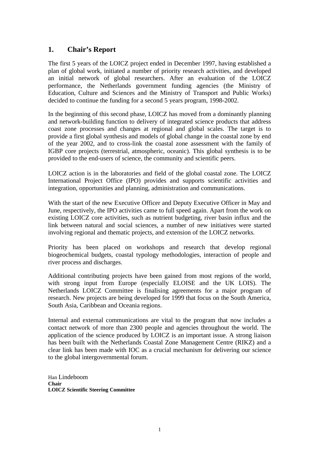## **1. Chair's Report**

The first 5 years of the LOICZ project ended in December 1997, having established a plan of global work, initiated a number of priority research activities, and developed an initial network of global researchers. After an evaluation of the LOICZ performance, the Netherlands government funding agencies (the Ministry of Education, Culture and Sciences and the Ministry of Transport and Public Works) decided to continue the funding for a second 5 years program, 1998-2002.

In the beginning of this second phase, LOICZ has moved from a dominantly planning and network-building function to delivery of integrated science products that address coast zone processes and changes at regional and global scales. The target is to provide a first global synthesis and models of global change in the coastal zone by end of the year 2002, and to cross-link the coastal zone assessment with the family of IGBP core projects (terrestrial, atmospheric, oceanic). This global synthesis is to be provided to the end-users of science, the community and scientific peers.

LOICZ action is in the laboratories and field of the global coastal zone. The LOICZ International Project Office (IPO) provides and supports scientific activities and integration, opportunities and planning, administration and communications.

With the start of the new Executive Officer and Deputy Executive Officer in May and June, respectively, the IPO activities came to full speed again. Apart from the work on existing LOICZ core activities, such as nutrient budgeting, river basin influx and the link between natural and social sciences, a number of new initiatives were started involving regional and thematic projects, and extension of the LOICZ networks.

Priority has been placed on workshops and research that develop regional biogeochemical budgets, coastal typology methodologies, interaction of people and river process and discharges.

Additional contributing projects have been gained from most regions of the world, with strong input from Europe (especially ELOISE and the UK LOIS). The Netherlands LOICZ Committee is finalising agreements for a major program of research. New projects are being developed for 1999 that focus on the South America, South Asia, Caribbean and Oceania regions.

Internal and external communications are vital to the program that now includes a contact network of more than 2300 people and agencies throughout the world. The application of the science produced by LOICZ is an important issue. A strong liaison has been built with the Netherlands Coastal Zone Management Centre (RIKZ) and a clear link has been made with IOC as a crucial mechanism for delivering our science to the global intergovernmental forum.

Han Lindeboom **Chair LOICZ Scientific Steering Committee**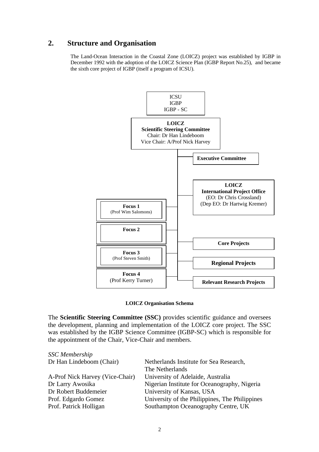### **2. Structure and Organisation**

The Land-Ocean Interaction in the Coastal Zone (LOICZ) project was established by IGBP in December 1992 with the adoption of the LOICZ Science Plan (IGBP Report No.25), and became the sixth core project of IGBP (itself a program of ICSU).



#### **LOICZ Organisation Schema**

The **Scientific Steering Committee (SSC)** provides scientific guidance and oversees the development, planning and implementation of the LOICZ core project. The SSC was established by the IGBP Science Committee (IGBP-SC) which is responsible for the appointment of the Chair, Vice-Chair and members.

| <b>SSC</b> Membership           |                                                |
|---------------------------------|------------------------------------------------|
| Dr Han Lindeboom (Chair)        | Netherlands Institute for Sea Research,        |
|                                 | The Netherlands                                |
| A-Prof Nick Harvey (Vice-Chair) | University of Adelaide, Australia              |
| Dr Larry Awosika                | Nigerian Institute for Oceanography, Nigeria   |
| Dr Robert Buddemeier            | University of Kansas, USA                      |
| Prof. Edgardo Gomez             | University of the Philippines, The Philippines |
| Prof. Patrick Holligan          | Southampton Oceanography Centre, UK            |
|                                 |                                                |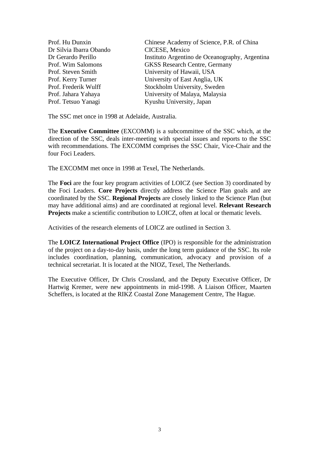Dr Silvia Ibarra Obando CICESE, Mexico

Prof. Hu Dunxin Chinese Academy of Science, P.R. of China Dr Gerardo Perillo Instituto Argentino de Oceanography, Argentina Prof. Wim Salomons GKSS Research Centre, Germany Prof. Steven Smith University of Hawaii, USA Prof. Kerry Turner University of East Anglia, UK Prof. Frederik Wulff Stockholm University, Sweden Prof. Jahara Yahaya University of Malaya, Malaysia Prof. Tetsuo Yanagi Kyushu University, Japan

The SSC met once in 1998 at Adelaide, Australia.

The **Executive Committee** (EXCOMM) is a subcommittee of the SSC which, at the direction of the SSC, deals inter-meeting with special issues and reports to the SSC with recommendations. The EXCOMM comprises the SSC Chair, Vice-Chair and the four Foci Leaders.

The EXCOMM met once in 1998 at Texel, The Netherlands.

The **Foci** are the four key program activities of LOICZ (see Section 3) coordinated by the Foci Leaders. **Core Projects** directly address the Science Plan goals and are coordinated by the SSC. **Regional Projects** are closely linked to the Science Plan (but may have additional aims) and are coordinated at regional level. **Relevant Research Projects** make a scientific contribution to LOICZ, often at local or thematic levels.

Activities of the research elements of LOICZ are outlined in Section 3.

The **LOICZ International Project Office** (IPO) is responsible for the administration of the project on a day-to-day basis, under the long term guidance of the SSC. Its role includes coordination, planning, communication, advocacy and provision of a technical secretariat. It is located at the NIOZ, Texel, The Netherlands.

The Executive Officer, Dr Chris Crossland, and the Deputy Executive Officer, Dr Hartwig Kremer, were new appointments in mid-1998. A Liaison Officer, Maarten Scheffers, is located at the RIKZ Coastal Zone Management Centre, The Hague.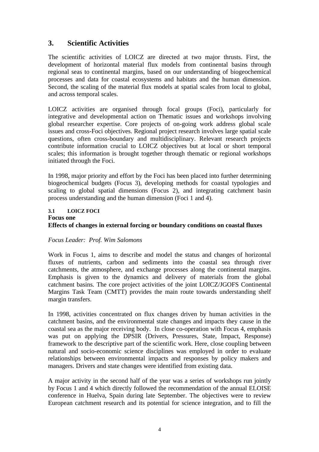## **3. Scientific Activities**

The scientific activities of LOICZ are directed at two major thrusts. First, the development of horizontal material flux models from continental basins through regional seas to continental margins, based on our understanding of biogeochemical processes and data for coastal ecosystems and habitats and the human dimension. Second, the scaling of the material flux models at spatial scales from local to global, and across temporal scales.

LOICZ activities are organised through focal groups (Foci), particularly for integrative and developmental action on Thematic issues and workshops involving global researcher expertise. Core projects of on-going work address global scale issues and cross-Foci objectives. Regional project research involves large spatial scale questions, often cross-boundary and multidisciplinary. Relevant research projects contribute information crucial to LOICZ objectives but at local or short temporal scales; this information is brought together through thematic or regional workshops initiated through the Foci.

In 1998, major priority and effort by the Foci has been placed into further determining biogeochemical budgets (Focus 3), developing methods for coastal typologies and scaling to global spatial dimensions (Focus 2), and integrating catchment basin process understanding and the human dimension (Foci 1 and 4).

#### **3.1 LOICZ FOCI**

#### **Focus one Effects of changes in external forcing or boundary conditions on coastal fluxes**

#### *Focus Leader: Prof. Wim Salomons*

Work in Focus 1, aims to describe and model the status and changes of horizontal fluxes of nutrients, carbon and sediments into the coastal sea through river catchments, the atmosphere, and exchange processes along the continental margins. Emphasis is given to the dynamics and delivery of materials from the global catchment basins. The core project activities of the joint LOICZ/JGOFS Continental Margins Task Team (CMTT) provides the main route towards understanding shelf margin transfers.

In 1998, activities concentrated on flux changes driven by human activities in the catchment basins, and the environmental state changes and impacts they cause in the coastal sea as the major receiving body. In close co-operation with Focus 4, emphasis was put on applying the DPSIR (Drivers, Pressures, State, Impact, Response) framework to the descriptive part of the scientific work. Here, close coupling between natural and socio-economic science disciplines was employed in order to evaluate relationships between environmental impacts and responses by policy makers and managers. Drivers and state changes were identified from existing data.

A major activity in the second half of the year was a series of workshops run jointly by Focus 1 and 4 which directly followed the recommendation of the annual ELOISE conference in Huelva, Spain during late September. The objectives were to review European catchment research and its potential for science integration, and to fill the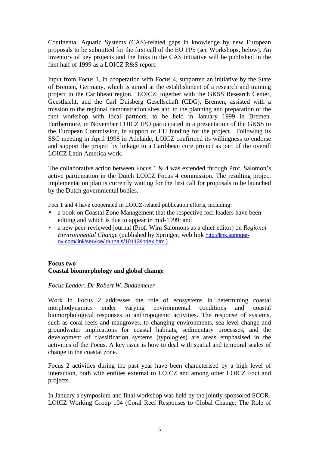Continental Aquatic Systems (CAS)-related gaps in knowledge by new European proposals to be submitted for the first call of the EU FP5 (see Workshops, below). An inventory of key projects and the links to the CAS initiative will be published in the first half of 1999 as a LOICZ R&S report.

Input from Focus 1, in cooperation with Focus 4, supported an initiative by the State of Bremen, Germany, which is aimed at the establishment of a research and training project in the Caribbean region. LOICZ, together with the GKSS Research Center, Geesthacht, and the Carl Duisberg Gesellschaft (CDG), Bremen, assisted with a mission to the regional demonstration sites and to the planning and preparation of the first workshop with local partners, to be held in January 1999 in Bremen. Furthermore, in November LOICZ IPO participated in a presentation of the GKSS to the European Commission, in support of EU funding for the project. Following its SSC meeting in April 1998 in Adelaide, LOICZ confirmed its willingness to endorse and support the project by linkage to a Caribbean core project as part of the overall LOICZ Latin America work.

The collaborative action between Focus 1  $& 4$  was extended through Prof. Salomon's active participation in the Dutch LOICZ Focus 4 commission. The resulting project implementation plan is currently waiting for the first call for proposals to be launched by the Dutch governmental bodies.

Foci 1 and 4 have cooperated in LOICZ-related publication efforts, including:

- a book on Coastal Zone Management that the respective foci leaders have been editing and which is due to appear in mid-1999; and
- a new peer-reviewed journal (Prof. Wim Salomons as a chief editor) on *Regional Environmental Change* (published by Springer; web link http://link.springerny.com/link/service/journals/10113/index.htm.)

#### **Focus two Coastal biomorphology and global change**

*Focus Leader: Dr Robert W. Buddemeier*

Work in Focus 2 addresses the role of ecosystems in determining coastal morphodynamics under varying environmental conditions and coastal biomorphological responses to anthropogenic activities. The response of systems, such as coral reefs and mangroves, to changing environments, sea level change and groundwater implications for coastal habitats, sedimentary processes, and the development of classification systems (typologies) are areas emphasised in the activities of the Focus. A key issue is how to deal with spatial and temporal scales of change in the coastal zone.

Focus 2 activities during the past year have been characterised by a high level of interaction, both with entities external to LOICZ and among other LOICZ Foci and projects.

In January a symposium and final workshop was held by the jointly sponsored SCOR-LOICZ Working Group 104 (Coral Reef Responses to Global Change: The Role of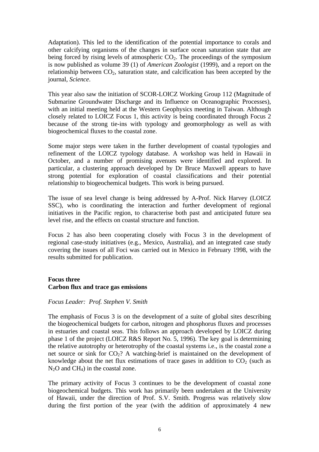Adaptation). This led to the identification of the potential importance to corals and other calcifying organisms of the changes in surface ocean saturation state that are being forced by rising levels of atmospheric  $CO<sub>2</sub>$ . The proceedings of the symposium is now published as volume 39 (1) of *American Zoologist* (1999), and a report on the relationship between  $CO<sub>2</sub>$ , saturation state, and calcification has been accepted by the journal, *Science*.

This year also saw the initiation of SCOR-LOICZ Working Group 112 (Magnitude of Submarine Groundwater Discharge and its Influence on Oceanographic Processes), with an initial meeting held at the Western Geophysics meeting in Taiwan. Although closely related to LOICZ Focus 1, this activity is being coordinated through Focus 2 because of the strong tie-ins with typology and geomorphology as well as with biogeochemical fluxes to the coastal zone.

Some major steps were taken in the further development of coastal typologies and refinement of the LOICZ typology database. A workshop was held in Hawaii in October, and a number of promising avenues were identified and explored. In particular, a clustering approach developed by Dr Bruce Maxwell appears to have strong potential for exploration of coastal classifications and their potential relationship to biogeochemical budgets. This work is being pursued.

The issue of sea level change is being addressed by A-Prof. Nick Harvey (LOICZ SSC), who is coordinating the interaction and further development of regional initiatives in the Pacific region, to characterise both past and anticipated future sea level rise, and the effects on coastal structure and function.

Focus 2 has also been cooperating closely with Focus 3 in the development of regional case-study initiatives (e.g., Mexico, Australia), and an integrated case study covering the issues of all Foci was carried out in Mexico in February 1998, with the results submitted for publication.

#### **Focus three Carbon flux and trace gas emissions**

#### *Focus Leader: Prof. Stephen V. Smith*

The emphasis of Focus 3 is on the development of a suite of global sites describing the biogeochemical budgets for carbon, nitrogen and phosphorus fluxes and processes in estuaries and coastal seas. This follows an approach developed by LOICZ during phase 1 of the project (LOICZ R&S Report No. 5, 1996). The key goal is determining the relative autotrophy or heterotrophy of the coastal systems i.e., is the coastal zone a net source or sink for  $CO<sub>2</sub>$ ? A watching-brief is maintained on the development of knowledge about the net flux estimations of trace gases in addition to  $CO<sub>2</sub>$  (such as  $N_2O$  and  $CH_4$ ) in the coastal zone.

The primary activity of Focus 3 continues to be the development of coastal zone biogeochemical budgets. This work has primarily been undertaken at the University of Hawaii, under the direction of Prof. S.V. Smith. Progress was relatively slow during the first portion of the year (with the addition of approximately 4 new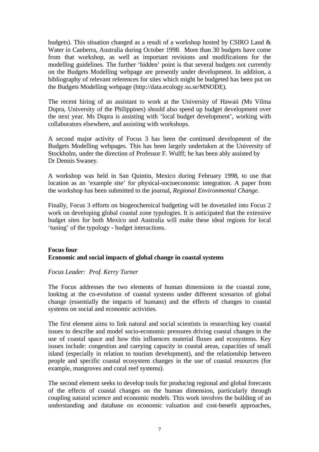budgets). This situation changed as a result of a workshop hosted by CSIRO Land & Water in Canberra, Australia during October 1998. More than 30 budgets have come from that workshop, as well as important revisions and modifications for the modelling guidelines. The further 'hidden' point is that several budgets not currently on the Budgets Modelling webpage are presently under development. In addition, a bibliography of relevant references for sites which might be budgeted has been put on the Budgets Modelling webpage (http://data.ecology.su.se/MNODE).

The recent hiring of an assistant to work at the University of Hawaii (Ms Vilma Dupra, University of the Philippines) should also speed up budget development over the next year. Ms Dupra is assisting with 'local budget development', working with collaborators elsewhere, and assisting with workshops.

A second major activity of Focus 3 has been the continued development of the Budgets Modelling webpages. This has been largely undertaken at the University of Stockholm, under the direction of Professor F. Wulff; he has been ably assisted by Dr Dennis Swaney.

A workshop was held in San Quintin, Mexico during February 1998, to use that location as an 'example site' for physical-socioeconomic integration. A paper from the workshop has been submitted to the journal, *Regional Environmental Change*.

Finally, Focus 3 efforts on biogeochemical budgeting will be dovetailed into Focus 2 work on developing global coastal zone typologies. It is anticipated that the extensive budget sites for both Mexico and Australia will make these ideal regions for local 'tuning' of the typology - budget interactions.

#### **Focus four Economic and social impacts of global change in coastal systems**

#### *Focus Leader: Prof. Kerry Turner*

The Focus addresses the two elements of human dimensions in the coastal zone, looking at the co-evolution of coastal systems under different scenarios of global change (essentially the impacts of humans) and the effects of changes to coastal systems on social and economic activities.

The first element aims to link natural and social scientists in researching key coastal issues to describe and model socio-economic pressures driving coastal changes in the use of coastal space and how this influences material fluxes and ecosystems. Key issues include: congestion and carrying capacity in coastal areas, capacities of small island (especially in relation to tourism development), and the relationship between people and specific coastal ecosystem changes in the use of coastal resources (for example, mangroves and coral reef systems).

The second element seeks to develop tools for producing regional and global forecasts of the effects of coastal changes on the human dimension, particularly through coupling natural science and economic models. This work involves the building of an understanding and database on economic valuation and cost-benefit approaches,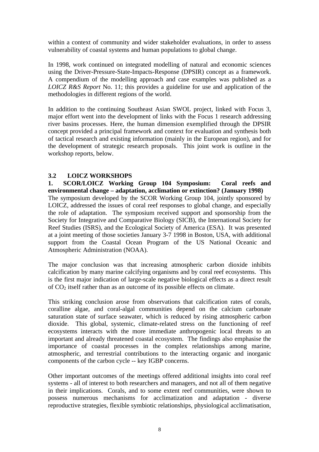within a context of community and wider stakeholder evaluations, in order to assess vulnerability of coastal systems and human populations to global change.

In 1998, work continued on integrated modelling of natural and economic sciences using the Driver-Pressure-State-Impacts-Response (DPSIR) concept as a framework. A compendium of the modelling approach and case examples was published as a *LOICZ R&S Report* No. 11; this provides a guideline for use and application of the methodologies in different regions of the world.

In addition to the continuing Southeast Asian SWOL project, linked with Focus 3, major effort went into the development of links with the Focus 1 research addressing river basins processes. Here, the human dimension exemplified through the DPSIR concept provided a principal framework and context for evaluation and synthesis both of tactical research and existing information (mainly in the European region), and for the development of strategic research proposals. This joint work is outline in the workshop reports, below.

#### **3.2 LOICZ WORKSHOPS**

**1. SCOR/LOICZ Working Group 104 Symposium: Coral reefs and environmental change – adaptation, acclimation or extinction? (January 1998)** The symposium developed by the SCOR Working Group 104, jointly sponsored by LOICZ, addressed the issues of coral reef responses to global change, and especially the role of adaptation. The symposium received support and sponsorship from the Society for Integrative and Comparative Biology (SICB), the International Society for Reef Studies (ISRS), and the Ecological Society of America (ESA). It was presented at a joint meeting of those societies January 3-7 1998 in Boston, USA, with additional support from the Coastal Ocean Program of the US National Oceanic and Atmospheric Administration (NOAA).

The major conclusion was that increasing atmospheric carbon dioxide inhibits calcification by many marine calcifying organisms and by coral reef ecosystems. This is the first major indication of large-scale negative biological effects as a direct result of  $CO<sub>2</sub>$  itself rather than as an outcome of its possible effects on climate.

This striking conclusion arose from observations that calcification rates of corals, coralline algae, and coral-algal communities depend on the calcium carbonate saturation state of surface seawater, which is reduced by rising atmospheric carbon dioxide. This global, systemic, climate-related stress on the functioning of reef ecosystems interacts with the more immediate anthropogenic local threats to an important and already threatened coastal ecosystem. The findings also emphasise the importance of coastal processes in the complex relationships among marine, atmospheric, and terrestrial contributions to the interacting organic and inorganic components of the carbon cycle -- key IGBP concerns.

Other important outcomes of the meetings offered additional insights into coral reef systems - all of interest to both researchers and managers, and not all of them negative in their implications. Corals, and to some extent reef communities, were shown to possess numerous mechanisms for acclimatization and adaptation - diverse reproductive strategies, flexible symbiotic relationships, physiological acclimatisation,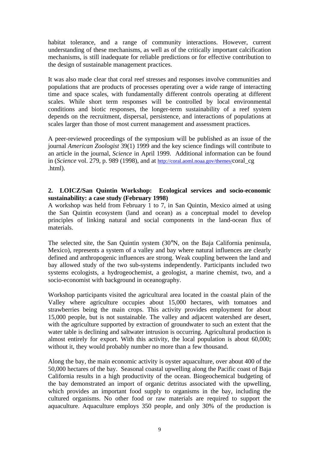habitat tolerance, and a range of community interactions. However, current understanding of these mechanisms, as well as of the critically important calcification mechanisms, is still inadequate for reliable predictions or for effective contribution to the design of sustainable management practices.

It was also made clear that coral reef stresses and responses involve communities and populations that are products of processes operating over a wide range of interacting time and space scales, with fundamentally different controls operating at different scales. While short term responses will be controlled by local environmental conditions and biotic responses, the longer-term sustainability of a reef system depends on the recruitment, dispersal, persistence, and interactions of populations at scales larger than those of most current management and assessment practices.

A peer-reviewed proceedings of the symposium will be published as an issue of the journal *American Zoologist* 39(1) 1999 and the key science findings will contribute to an article in the journal, *Science* in April 1999. Additional information can be found in (*Science* vol. 279, p. 989 (1998), and at http://coral.aoml.noaa.gov/themes/coral\_cg .html).

#### **2. LOICZ/San Quintin Workshop: Ecological services and socio-economic sustainability: a case study (February 1998)**

A workshop was held from February 1 to 7, in San Quintin, Mexico aimed at using the San Quintin ecosystem (land and ocean) as a conceptual model to develop principles of linking natural and social components in the land-ocean flux of materials.

The selected site, the San Quintin system (30°N, on the Baja California peninsula, Mexico), represents a system of a valley and bay where natural influences are clearly defined and anthropogenic influences are strong. Weak coupling between the land and bay allowed study of the two sub-systems independently. Participants included two systems ecologists, a hydrogeochemist, a geologist, a marine chemist, two, and a socio-economist with background in oceanography.

Workshop participants visited the agricultural area located in the coastal plain of the Valley where agriculture occupies about 15,000 hectares, with tomatoes and strawberries being the main crops. This activity provides employment for about 15,000 people, but is not sustainable. The valley and adjacent watershed are desert, with the agriculture supported by extraction of groundwater to such an extent that the water table is declining and saltwater intrusion is occurring. Agricultural production is almost entirely for export. With this activity, the local population is about 60,000; without it, they would probably number no more than a few thousand.

Along the bay, the main economic activity is oyster aquaculture, over about 400 of the 50,000 hectares of the bay. Seasonal coastal upwelling along the Pacific coast of Baja California results in a high productivity of the ocean. Biogeochemical budgeting of the bay demonstrated an import of organic detritus associated with the upwelling, which provides an important food supply to organisms in the bay, including the cultured organisms. No other food or raw materials are required to support the aquaculture. Aquaculture employs 350 people, and only 30% of the production is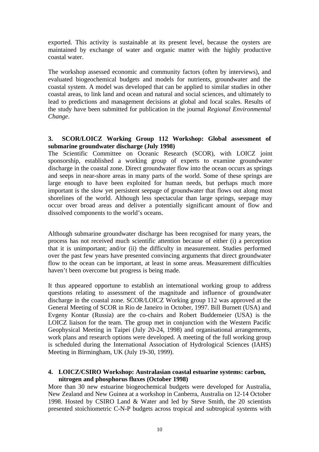exported. This activity is sustainable at its present level, because the oysters are maintained by exchange of water and organic matter with the highly productive coastal water.

The workshop assessed economic and community factors (often by interviews), and evaluated biogeochemical budgets and models for nutrients, groundwater and the coastal system. A model was developed that can be applied to similar studies in other coastal areas, to link land and ocean and natural and social sciences, and ultimately to lead to predictions and management decisions at global and local scales. Results of the study have been submitted for publication in the journal *Regional Environmental Change*.

#### **3. SCOR/LOICZ Working Group 112 Workshop: Global assessment of submarine groundwater discharge (July 1998)**

The Scientific Committee on Oceanic Research (SCOR), with LOICZ joint sponsorship, established a working group of experts to examine groundwater discharge in the coastal zone. Direct groundwater flow into the ocean occurs as springs and seeps in near-shore areas in many parts of the world. Some of these springs are large enough to have been exploited for human needs, but perhaps much more important is the slow yet persistent seepage of groundwater that flows out along most shorelines of the world. Although less spectacular than large springs, seepage may occur over broad areas and deliver a potentially significant amount of flow and dissolved components to the world's oceans.

Although submarine groundwater discharge has been recognised for many years, the process has not received much scientific attention because of either (i) a perception that it is unimportant; and/or (ii) the difficulty in measurement. Studies performed over the past few years have presented convincing arguments that direct groundwater flow to the ocean can be important, at least in some areas. Measurement difficulties haven't been overcome but progress is being made.

It thus appeared opportune to establish an international working group to address questions relating to assessment of the magnitude and influence of groundwater discharge in the coastal zone. SCOR/LOICZ Working group 112 was approved at the General Meeting of SCOR in Rio de Janeiro in October, 1997. Bill Burnett (USA) and Evgeny Kontar (Russia) are the co-chairs and Robert Buddemeier (USA) is the LOICZ liaison for the team. The group met in conjunction with the Western Pacific Geophysical Meeting in Taipei (July 20-24, 1998) and organisational arrangements, work plans and research options were developed. A meeting of the full working group is scheduled during the International Association of Hydrological Sciences (IAHS) Meeting in Birmingham, UK (July 19-30, 1999).

#### **4. LOICZ/CSIRO Workshop: Australasian coastal estuarine systems: carbon, nitrogen and phosphorus fluxes (October 1998)**

More than 30 new estuarine biogeochemical budgets were developed for Australia, New Zealand and New Guinea at a workshop in Canberra, Australia on 12-14 October 1998. Hosted by CSIRO Land & Water and led by Steve Smith, the 20 scientists presented stoichiometric C-N-P budgets across tropical and subtropical systems with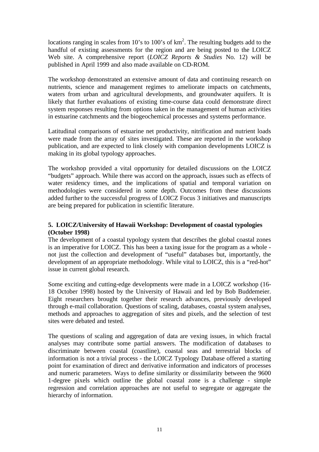locations ranging in scales from 10's to 100's of  $km^2$ . The resulting budgets add to the handful of existing assessments for the region and are being posted to the LOICZ Web site. A comprehensive report (*LOICZ Reports & Studies* No. 12) will be published in April 1999 and also made available on CD-ROM.

The workshop demonstrated an extensive amount of data and continuing research on nutrients, science and management regimes to ameliorate impacts on catchments, waters from urban and agricultural developments, and groundwater aquifers. It is likely that further evaluations of existing time-course data could demonstrate direct system responses resulting from options taken in the management of human activities in estuarine catchments and the biogeochemical processes and systems performance.

Latitudinal comparisons of estuarine net productivity, nitrification and nutrient loads were made from the array of sites investigated. These are reported in the workshop publication, and are expected to link closely with companion developments LOICZ is making in its global typology approaches.

The workshop provided a vital opportunity for detailed discussions on the LOICZ "budgets" approach. While there was accord on the approach, issues such as effects of water residency times, and the implications of spatial and temporal variation on methodologies were considered in some depth. Outcomes from these discussions added further to the successful progress of LOICZ Focus 3 initiatives and manuscripts are being prepared for publication in scientific literature.

#### **5. LOICZ/University of Hawaii Workshop: Development of coastal typologies (October 1998)**

The development of a coastal typology system that describes the global coastal zones is an imperative for LOICZ. This has been a taxing issue for the program as a whole not just the collection and development of "useful" databases but, importantly, the development of an appropriate methodology. While vital to LOICZ, this is a "red-hot" issue in current global research.

Some exciting and cutting-edge developments were made in a LOICZ workshop (16- 18 October 1998) hosted by the University of Hawaii and led by Bob Buddemeier. Eight researchers brought together their research advances, previously developed through e-mail collaboration. Questions of scaling, databases, coastal system analyses, methods and approaches to aggregation of sites and pixels, and the selection of test sites were debated and tested.

The questions of scaling and aggregation of data are vexing issues, in which fractal analyses may contribute some partial answers. The modification of databases to discriminate between coastal (coastline), coastal seas and terrestrial blocks of information is not a trivial process - the LOICZ Typology Database offered a starting point for examination of direct and derivative information and indicators of processes and numeric parameters. Ways to define similarity or dissimilarity between the 9600 1-degree pixels which outline the global coastal zone is a challenge - simple regression and correlation approaches are not useful to segregate or aggregate the hierarchy of information.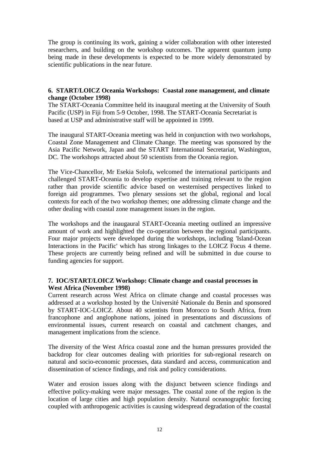The group is continuing its work, gaining a wider collaboration with other interested researchers, and building on the workshop outcomes. The apparent quantum jump being made in these developments is expected to be more widely demonstrated by scientific publications in the near future.

#### **6. START/LOICZ Oceania Workshops: Coastal zone management, and climate change (October 1998)**

The START-Oceania Committee held its inaugural meeting at the University of South Pacific (USP) in Fiji from 5-9 October, 1998. The START-Oceania Secretariat is based at USP and administrative staff will be appointed in 1999.

The inaugural START-Oceania meeting was held in conjunction with two workshops, Coastal Zone Management and Climate Change. The meeting was sponsored by the Asia Pacific Network, Japan and the START International Secretariat, Washington, DC. The workshops attracted about 50 scientists from the Oceania region.

The Vice-Chancellor, Mr Esekia Solofa, welcomed the international participants and challenged START-Oceania to develop expertise and training relevant to the region rather than provide scientific advice based on westernised perspectives linked to foreign aid programmes. Two plenary sessions set the global, regional and local contexts for each of the two workshop themes; one addressing climate change and the other dealing with coastal zone management issues in the region.

The workshops and the inaugaural START-Oceania meeting outlined an impressive amount of work and highlighted the co-operation between the regional participants. Four major projects were developed during the workshops, including 'Island-Ocean Interactions in the Pacific' which has strong linkages to the LOICZ Focus 4 theme. These projects are currently being refined and will be submitted in due course to funding agencies for support.

#### **7. IOC/START/LOICZ Workshop: Climate change and coastal processes in West Africa (November 1998)**

Current research across West Africa on climate change and coastal processes was addressed at a workshop hosted by the Université Nationale du Benin and sponsored by START-IOC-LOICZ. About 40 scientists from Morocco to South Africa, from francophone and anglophone nations, joined in presentations and discussions of environmental issues, current research on coastal and catchment changes, and management implications from the science.

The diversity of the West Africa coastal zone and the human pressures provided the backdrop for clear outcomes dealing with priorities for sub-regional research on natural and socio-economic processes, data standard and access, communication and dissemination of science findings, and risk and policy considerations.

Water and erosion issues along with the disjunct between science findings and effective policy-making were major messages. The coastal zone of the region is the location of large cities and high population density. Natural oceanographic forcing coupled with anthropogenic activities is causing widespread degradation of the coastal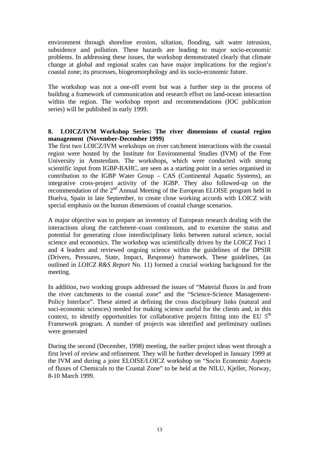environment through shoreline erosion, siltation, flooding, salt water intrusion, subsidence and pollution. These hazards are leading to major socio-economic problems. In addressing these issues, the workshop demonstrated clearly that climate change at global and regional scales can have major implications for the region's coastal zone; its processes, biogeomorphology and its socio-economic future.

The workshop was not a one-off event but was a further step in the process of building a framework of communication and research effort on land-ocean interaction within the region. The workshop report and recommendations (IOC publication series) will be published in early 1999.

#### **8. LOICZ/IVM Workshop Series: The river dimensions of coastal region management (November-December 1999)**

The first two LOICZ/IVM workshops on river catchment interactions with the coastal region were hosted by the Institute for Environmental Studies (IVM) of the Free University in Amsterdam. The workshops, which were conducted with strong scientific input from IGBP-BAHC, are seen as a starting point in a series organised in contribution to the IGBP Water Group – CAS (Continental Aquatic Systems), an integrative cross-project activity of the IGBP. They also followed-up on the recommendation of the 2<sup>nd</sup> Annual Meeting of the European ELOISE program held in Huelva, Spain in late September, to create close working accords with LOICZ with special emphasis on the human dimensions of coastal change scenarios.

A major objective was to prepare an inventory of European research dealing with the interactions along the catchment–coast continuum, and to examine the status and potential for generating close interdisciplinary links between natural science, social science and economics. The workshop was scientifically driven by the LOICZ Foci 1 and 4 leaders and reviewed ongoing science within the guidelines of the DPSIR (Drivers, Pressures, State, Impact, Response) framework. These guidelines, (as outlined in *LOICZ R&S Report* No. 11) formed a crucial working backgound for the meeting.

In addition, two working groups addressed the issues of "Material fluxes in and from the river catchments to the coastal zone" and the "Science-Science Management-Policy Interface". These aimed at defining the cross disciplinary links (natural and soci-economic sciences) needed for making science useful for the clients and, in this context, to identify opportunities for collaborative projects fitting into the EU  $5<sup>th</sup>$ Framework program. A number of projects was identified and preliminary outlines were generated

During the second (December, 1998) meeting, the earlier project ideas went through a first level of review and refinement. They will be further developed in January 1999 at the IVM and during a joint ELOISE/LOICZ workshop on "Socio Economic Aspects of fluxes of Chemicals to the Coastal Zone" to be held at the NILU, Kjeller, Norway, 8-10 March 1999.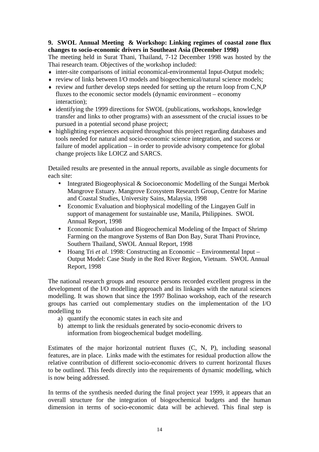#### **9. SWOL Annual Meeting & Workshop: Linking regimes of coastal zone flux changes to socio-economic drivers in Southeast Asia (December 1998)**

The meeting held in Surat Thani, Thailand, 7-12 December 1998 was hosted by the Thai research team. Objectives of the workshop included:

- ♦ inter-site comparisons of initial economical-environmental Input-Output models;
- ♦ review of links between I/O models and biogeochemical/natural science models;
- $\bullet$  review and further develop steps needed for setting up the return loop from C,N,P fluxes to the economic sector models (dynamic environment – economy interaction);
- ♦ identifying the 1999 directions for SWOL (publications, workshops, knowledge transfer and links to other programs) with an assessment of the crucial issues to be pursued in a potential second phase project;
- ♦ highlighting experiences acquired throughout this project regarding databases and tools needed for natural and socio-economic science integration, and success or failure of model application – in order to provide advisory competence for global change projects like LOICZ and SARCS.

Detailed results are presented in the annual reports, available as single documents for each site:

- Integrated Biogeophysical & Socioeconomic Modelling of the Sungai Merbok Mangrove Estuary. Mangrove Ecosystem Research Group, Centre for Marine and Coastal Studies, University Sains, Malaysia, 1998
- Economic Evaluation and biophysical modelling of the Lingayen Gulf in support of management for sustainable use, Manila, Philippines. SWOL Annual Report, 1998
- Economic Evaluation and Biogeochemical Modeling of the Impact of Shrimp Farming on the mangrove Systems of Ban Don Bay, Surat Thani Province, Southern Thailand, SWOL Annual Report, 1998
- Hoang Tri *et al*. 1998: Constructing an Economic Environmental Input Output Model: Case Study in the Red River Region, Vietnam. SWOL Annual Report, 1998

The national research groups and resource persons recorded excellent progress in the development of the I/O modelling approach and its linkages with the natural sciences modelling. It was shown that since the 1997 Bolinao workshop, each of the research groups has carried out complementary studies on the implementation of the I/O modelling to

- a) quantify the economic states in each site and
- b) attempt to link the residuals generated by socio-economic drivers to information from biogeochemical budget modelling.

Estimates of the major horizontal nutrient fluxes (C, N, P), including seasonal features, are in place. Links made with the estimates for residual production allow the relative contribution of different socio-economic drivers to current horizontal fluxes to be outlined. This feeds directly into the requirements of dynamic modelling, which is now being addressed.

In terms of the synthesis needed during the final project year 1999, it appears that an overall structure for the integration of biogeochemical budgets and the human dimension in terms of socio-economic data will be achieved. This final step is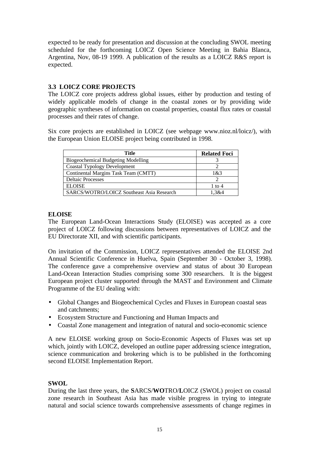expected to be ready for presentation and discussion at the concluding SWOL meeting scheduled for the forthcoming LOICZ Open Science Meeting in Bahia Blanca, Argentina, Nov, 08-19 1999. A publication of the results as a LOICZ R&S report is expected.

#### **3.3 LOICZ CORE PROJECTS**

The LOICZ core projects address global issues, either by production and testing of widely applicable models of change in the coastal zones or by providing wide geographic syntheses of information on coastal properties, coastal flux rates or coastal processes and their rates of change.

Six core projects are established in LOICZ (see webpage www.nioz.nl/loicz/), with the European Union ELOISE project being contributed in 1998.

| Title                                     | <b>Related Foci</b> |
|-------------------------------------------|---------------------|
| <b>Biogeochemical Budgeting Modelling</b> |                     |
| <b>Coastal Typology Development</b>       |                     |
| Continental Margins Task Team (CMTT)      | 1 & 3               |
| <b>Deltaic Processes</b>                  |                     |
| <b>ELOISE</b>                             | 1 to 4              |
| SARCS/WOTRO/LOICZ Southeast Asia Research | 1.3&4               |

#### **ELOISE**

The European Land-Ocean Interactions Study (ELOISE) was accepted as a core project of LOICZ following discussions between representatives of LOICZ and the EU Directorate XII, and with scientific participants.

On invitation of the Commission, LOICZ representatives attended the ELOISE 2nd Annual Scientific Conference in Huelva, Spain (September 30 - October 3, 1998). The conference gave a comprehensive overview and status of about 30 European Land-Ocean Interaction Studies comprising some 300 researchers. It is the biggest European project cluster supported through the MAST and Environment and Climate Programme of the EU dealing with:

- Global Changes and Biogeochemical Cycles and Fluxes in European coastal seas and catchments;
- Ecosystem Structure and Functioning and Human Impacts and
- Coastal Zone management and integration of natural and socio-economic science

A new ELOISE working group on Socio-Economic Aspects of Fluxes was set up which, jointly with LOICZ, developed an outline paper addressing science integration, science communication and brokering which is to be published in the forthcoming second ELOISE Implementation Report.

#### **SWOL**

During the last three years, the **S**ARCS/**WO**TRO/**L**OICZ (SWOL) project on coastal zone research in Southeast Asia has made visible progress in trying to integrate natural and social science towards comprehensive assessments of change regimes in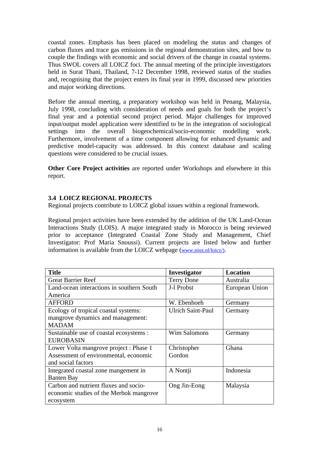coastal zones. Emphasis has been placed on modeling the status and changes of carbon fluxes and trace gas emissions in the regional demonstration sites, and how to couple the findings with economic and social drivers of the change in coastal systems. Thus SWOL covers all LOICZ foci. The annual meeting of the principle investigators held in Surat Thani, Thailand, 7-12 December 1998, reviewed status of the studies and, recognising that the project enters its final year in 1999, discussed new priorities and major working directions.

Before the annual meeting, a preparatory workshop was held in Penang, Malaysia, July 1998, concluding with consideration of needs and goals for both the project's final year and a potential second project period. Major challenges for improved input/output model application were identified to be in the integration of sociological settings into the overall biogeochemical/socio-economic modelling work. Furthermore, involvement of a time component allowing for enhanced dynamic and predictive model-capacity was addressed. In this context database and scaling questions were considered to be crucial issues.

**Other Core Project activities** are reported under Workshops and elsewhere in this report.

#### **3.4 LOICZ REGIONAL PROJECTS**

Regional projects contribute to LOICZ global issues within a regional framework.

Regional project activities have been extended by the addition of the UK Land-Ocean Interactions Study (LOIS). A major integrated study in Morocco is being reviewed prior to acceptance (Integrated Coastal Zone Study and Management, Chief Investigator: Prof Maria Snoussi). Current projects are listed below and further information is available from the LOICZ webpage (www.nioz.nl/loicz/).

| <b>Title</b>                              | Investigator             | <b>Location</b> |
|-------------------------------------------|--------------------------|-----------------|
| <b>Great Barrier Reef</b>                 | <b>Terry Done</b>        | Australia       |
| Land-ocean interactions in southern South | J-l Probst               | European Union  |
| America                                   |                          |                 |
| <b>AFFORD</b>                             | W. Ebenhoeh              | Germany         |
| Ecology of tropical coastal systems:      | <b>Ulrich Saint-Paul</b> | Germany         |
| mangrove dynamics and management:         |                          |                 |
| <b>MADAM</b>                              |                          |                 |
| Sustainable use of coastal ecosystems :   | Wim Salomons             | Germany         |
| <b>EUROBASIN</b>                          |                          |                 |
| Lower Volta mangrove project : Phase 1    | Christopher              | Ghana           |
| Assessment of environmental, economic     | Gordon                   |                 |
| and social factors                        |                          |                 |
| Integrated coastal zone mangement in      | A Nontji                 | Indonesia       |
| <b>Banten Bay</b>                         |                          |                 |
| Carbon and nutrient fluxes and socio-     | Ong Jin-Eong             | Malaysia        |
| economic studies of the Merbok mangrove   |                          |                 |
| ecosystem                                 |                          |                 |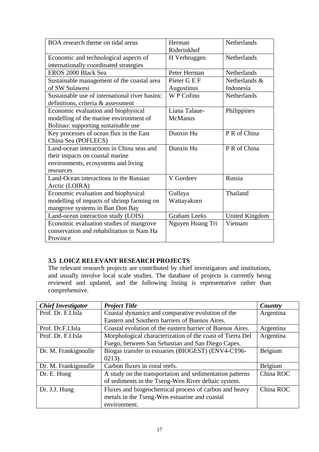| BOA research theme on tidal areas              | Herman              | <b>Netherlands</b>    |
|------------------------------------------------|---------------------|-----------------------|
|                                                | Riderinkhof         |                       |
| Economic and technological aspects of          | H Verbruggen        | <b>Netherlands</b>    |
| internationally coordinated strategies         |                     |                       |
| EROS 2000 Black Sea                            | Peter Herman        | <b>Netherlands</b>    |
| Sustainable management of the coastal area     | Pieter G E F        | Netherlands &         |
| of SW Sulawesi                                 | Augustinus          | Indonesia             |
| Sustainable use of international river basins: | W P Cofino          | Netherlands           |
| definitions, criteria & assessment             |                     |                       |
| Economic evaluation and biophysical            | Liana Talaue-       | Philippines           |
| modelling of the marine environment of         | <b>McManus</b>      |                       |
| Bolinao: supporting sustainable use            |                     |                       |
| Key processes of ocean flux in the East        | Dunxin Hu           | P R of China          |
| China Sea (POFLECS)                            |                     |                       |
| Land-ocean interactions in China seas and      | Dunxin Hu           | P R of China          |
| their impacts on coastal marine                |                     |                       |
| environments, ecosystems and living            |                     |                       |
| resources                                      |                     |                       |
| Land-Ocean interactions in the Russian         | V Gordeev           | Russia                |
| Arctic (LOIRA)                                 |                     |                       |
| Economic evaluation and biophysical            | Gullaya             | Thailand              |
| modelling of impacts of shrimp farming on      | Wattayakorn         |                       |
| mangrove systems in Ban Don Bay                |                     |                       |
| Land-ocean interaction study (LOIS)            | <b>Graham Leeks</b> | <b>United Kingdom</b> |
| Economic evaluation studies of mangrove        | Nguyen Hoang Tri    | Vietnam               |
| conservation and rehabilitation in Nam Ha      |                     |                       |
| Province                                       |                     |                       |

## **3.5 LOICZ RELEVANT RESEARCH PROJECTS**

The relevant research projects are contributed by chief investigators and institutions, and usually involve local scale studies. The database of projects is currently being reviewed and updated, and the following listing is representative rather than comprehensive.

| <b>Chief Investigator</b> | <b>Project Title</b>                                      | Country   |
|---------------------------|-----------------------------------------------------------|-----------|
| Prof. Dr. F.I.Isla        | Coastal dynamics and comparative evolution of the         | Argentina |
|                           | Eastern and Southern barriers of Buenos Aires.            |           |
| Prof. Dr.F.I.Isla         | Coastal evolution of the eastern barrier of Buenos Aires. | Argentina |
| Prof. Dr. F.I.Isla        | Morphological characterization of the coast of Tierra Del | Argentina |
|                           | Fuego, between San Sebastian and San Diego Capes.         |           |
| Dr. M. Frankignoulle      | Biogas transfer in estuaries (BIOGEST) (ENV4-CT96-        | Belgium   |
|                           | $0213$ ).                                                 |           |
| Dr. M. Frankignoulle      | Carbon fluxes in coral reefs.                             | Belgium   |
| Dr. E. Hong               | A study on the transportation and sedimentation patterns  | China ROC |
|                           | of sediments in the Tseng-Wen River deltaic system.       |           |
| Dr. J.J. Hung             | Fluxes and biogeochemical process of carbon and heavy     | China ROC |
|                           | metals in the Tseng-Wen estuarine and coastal             |           |
|                           | environment.                                              |           |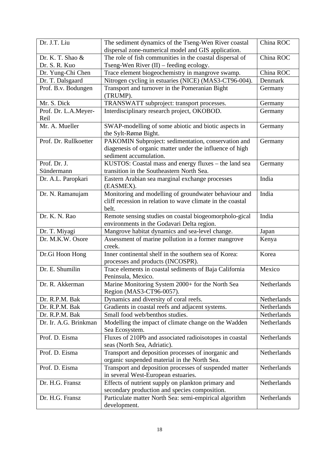| Dr. J.T. Liu                 | The sediment dynamics of the Tseng-Wen River coastal                                                | China ROC   |
|------------------------------|-----------------------------------------------------------------------------------------------------|-------------|
|                              | dispersal zone-numerical model and GIS application.                                                 |             |
| Dr. K. T. Shao &             | The role of fish communities in the coastal dispersal of                                            | China ROC   |
| Dr. S. R. Kuo                | Tseng-Wen River (II) - feeding ecology.                                                             |             |
| Dr. Yung-Chi Chen            | Trace element biogeochemistry in mangrove swamp.                                                    | China ROC   |
| Dr. T. Dalsgaard             | Nitrogen cycling in estuaries (NICE) (MAS3-CT96-004).                                               | Denmark     |
| Prof. B.v. Bodungen          | Transport and turnover in the Pomeranian Bight<br>(TRUMP).                                          | Germany     |
| Mr. S. Dick                  | TRANSWATT subproject: transport processes.                                                          | Germany     |
| Prof. Dr. L.A.Meyer-<br>Reil | Interdisciplinary research project, OKOBOD.                                                         | Germany     |
| Mr. A. Mueller               | SWAP-modelling of some abiotic and biotic aspects in                                                | Germany     |
|                              | the Sylt-Rømø Bight.                                                                                |             |
| Prof. Dr. Rullkoetter        | PAKOMIN Subproject: sedimentation, conservation and                                                 | Germany     |
|                              | diagenesis of organic matter under the influence of high                                            |             |
|                              | sediment accumulation.                                                                              |             |
| Prof. Dr. J.                 | KUSTOS: Coastal mass and energy fluxes – the land sea                                               | Germany     |
| Sündermann                   | transition in the Southeastern North Sea.                                                           |             |
| Dr. A.L. Paropkari           | Eastern Arabian sea marginal exchange processes<br>(EASMEX).                                        | India       |
| Dr. N. Ramanujam             | Monitoring and modelling of groundwater behaviour and                                               | India       |
|                              | cliff recession in relation to wave climate in the coastal                                          |             |
|                              | belt.                                                                                               |             |
| Dr. K. N. Rao                | Remote sensing studies on coastal biogeomorpholo-gical                                              | India       |
|                              | environments in the Godavari Delta region.                                                          |             |
| Dr. T. Miyagi                | Mangrove habitat dynamics and sea-level change.                                                     | Japan       |
| Dr. M.K.W. Osore             | Assessment of marine pollution in a former mangrove<br>creek.                                       | Kenya       |
| Dr.Gi Hoon Hong              | Inner continental shelf in the southern sea of Korea:                                               | Korea       |
|                              | processes and products (INCOSPR).                                                                   |             |
| Dr. E. Shumilin              | Trace elements in coastal sediments of Baja California                                              | Mexico      |
|                              | Peninsula, Mexico.                                                                                  |             |
| Dr. R. Akkerman              | Marine Monitoring System 2000+ for the North Sea                                                    | Netherlands |
|                              | Region (MAS3-CT96-0057).                                                                            |             |
| Dr. R.P.M. Bak               | Dynamics and diversity of coral reefs.                                                              | Netherlands |
| Dr. R.P.M. Bak               | Gradients in coastal reefs and adjacent systems.                                                    | Netherlands |
| Dr. R.P.M. Bak               | Small food web/benthos studies.                                                                     | Netherlands |
| Dr. Ir. A.G. Brinkman        | Modelling the impact of climate change on the Wadden                                                | Netherlands |
|                              | Sea Ecosystem.                                                                                      |             |
| Prof. D. Eisma               | Fluxes of 210Pb and associated radioisotopes in coastal                                             | Netherlands |
|                              | seas (North Sea, Adriatic).                                                                         |             |
| Prof. D. Eisma               | Transport and deposition processes of inorganic and<br>organic suspended material in the North Sea. | Netherlands |
| Prof. D. Eisma               | Transport and deposition processes of suspended matter                                              | Netherlands |
|                              | in several West-European estuaries.                                                                 |             |
| Dr. H.G. Fransz              | Effects of nutrient supply on plankton primary and                                                  | Netherlands |
|                              | secondary production and species composition.                                                       |             |
| Dr. H.G. Fransz              | Particulate matter North Sea: semi-empirical algorithm                                              | Netherlands |
|                              | development.                                                                                        |             |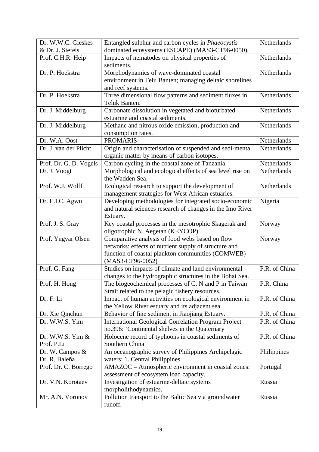| Dr. W.W.C. Gieskes     | Entangled sulphur and carbon cycles in <i>Phaeocystis</i>                                         | Netherlands        |
|------------------------|---------------------------------------------------------------------------------------------------|--------------------|
| & Dr. J. Stefels       | dominated ecosystems (ESCAPE) (MAS3-CT96-0050).                                                   |                    |
| Prof. C.H.R. Heip      | Impacts of nematodes on physical properties of<br>sediments.                                      | Netherlands        |
| Dr. P. Hoekstra        | Morphodynamics of wave-dominated coastal                                                          | Netherlands        |
|                        | environment in Telu Banten; managing deltaic shorelines                                           |                    |
|                        | and reef systems.                                                                                 |                    |
| Dr. P. Hoekstra        | Three dimensional flow patterns and sediment fluxes in                                            | <b>Netherlands</b> |
|                        | Teluk Banten.                                                                                     |                    |
| Dr. J. Middelburg      | Carbonate dissolution in vegetated and bioturbated                                                | Netherlands        |
|                        | estuarine and coastal sediments.                                                                  |                    |
| Dr. J. Middelburg      | Methane and nitrous oxide emission, production and                                                | Netherlands        |
|                        | consumption rates.                                                                                |                    |
| Dr. W.A. Oost          | <b>PROMARIS</b>                                                                                   | Netherlands        |
| Dr. J. van der Plicht  | Origin and characterisation of suspended and sedi-mental                                          | Netherlands        |
|                        | organic matter by means of carbon isotopes.                                                       |                    |
| Prof. Dr. G. D. Vogels | Carbon cycling in the coastal zone of Tanzania.                                                   | Netherlands        |
| Dr. J. Voogt           | Morphological and ecological effects of sea level rise on                                         | Netherlands        |
|                        | the Wadden Sea.                                                                                   |                    |
| Prof. W.J. Wolff       | Ecological research to support the development of                                                 | Netherlands        |
|                        | management strategies for West African estuaries.                                                 |                    |
| Dr. E.I.C. Agwu        | Developing methodologies for integrated socio-economic                                            | Nigeria            |
|                        | and natural sciences research of changes in the Imo River                                         |                    |
|                        | Estuary.                                                                                          |                    |
| Prof. J. S. Gray       | Key coastal processes in the mesotrophic Skagerak and                                             | Norway             |
|                        | oligotrophic N. Aegetan (KEYCOP).                                                                 |                    |
| Prof. Yngvar Olsen     | Comparative analysis of food webs based on flow                                                   | Norway             |
|                        | networks: effects of nutrient supply of structure and                                             |                    |
|                        | function of coastal plankton communities (COMWEB)                                                 |                    |
|                        | (MAS3-CT96-0052)                                                                                  |                    |
| Prof. G. Fang          | Studies on impacts of climate and land environmental                                              | P.R. of China      |
|                        | changes to the hydrographic structures in the Bohai Sea.                                          |                    |
| Prof. H. Hong          | The biogeochemical processes of C, N and P in Taiwan                                              | P.R. China         |
| Dr. F. Li              | Strait related to the pelagic fishery resources.                                                  | P.R. of China      |
|                        | Impact of human activities on ecological environment in                                           |                    |
| Dr. Xie Qinchun        | the Yellow River estuary and its adjacent sea.<br>Behavior of fine sediment in Jiaojiang Estuary. | P.R. of China      |
| Dr. W.W.S. Yim         | <b>International Geological Correlation Program Project</b>                                       | P.R. of China      |
|                        | no.396: 'Continental shelves in the Quaternary                                                    |                    |
| Dr. W.W.S. Yim &       | Holocene record of typhoons in coastal sediments of                                               | P.R. of China      |
| Prof. P.Li             | Southern China                                                                                    |                    |
| Dr. W. Campos $\&$     | An oceanographic survey of Philippines Archipelagic                                               | Philippines        |
| Dr. R. Baleña          | waters: 1. Central Philippines.                                                                   |                    |
| Prof. Dr. C. Borrego   | AMAZOC - Atmospheric environment in coastal zones:                                                | Portugal           |
|                        | assessment of ecosystem load capacity.                                                            |                    |
| Dr. V.N. Korotaev      | Investigation of estuarine-deltaic systems                                                        | Russia             |
|                        | morpholithodynamics.                                                                              |                    |
| Mr. A.N. Voronov       | Pollution transport to the Baltic Sea via groundwater                                             | Russia             |
|                        | runoff.                                                                                           |                    |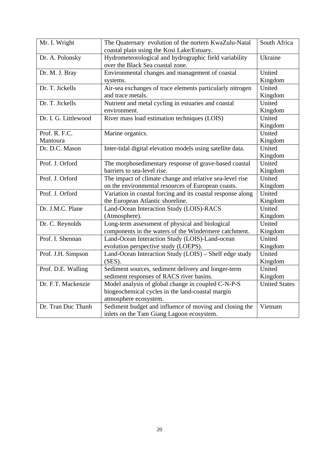| Mr. I. Wright        | The Quaternary evolution of the nortern KwaZulu-Natal       | South Africa         |
|----------------------|-------------------------------------------------------------|----------------------|
|                      | coastal plain using the Kosi Lake/Estuary.                  |                      |
| Dr. A. Polonsky      | Hydrometeorological and hydrographic field variability      | Ukraine              |
|                      | over the Black Sea coastal zone.                            |                      |
| Dr. M. J. Bray       | Environmental changes and management of coastal             | United               |
|                      | systems.                                                    | Kingdom              |
| Dr. T. Jickells      | Air-sea exchanges of trace elements particularly nitrogen   | United               |
|                      | and trace metals.                                           | Kingdom              |
| Dr. T. Jickells      | Nutrient and metal cycling in estuaries and coastal         | United               |
|                      | environment.                                                | Kingdom              |
| Dr. I. G. Littlewood | River mass load estimation techniques (LOIS)                | United               |
|                      |                                                             | Kingdom              |
| Prof. R. F.C.        | Marine organics.                                            | United               |
| Mantoura             |                                                             | Kingdom              |
| Dr. D.C. Mason       | Inter-tidal digital elevation models using satellite data.  | United               |
|                      |                                                             | Kingdom              |
| Prof. J. Orford      | The morphosedimentary response of grave-based coastal       | United               |
|                      | barriers to sea-level rise.                                 | Kingdom              |
| Prof. J. Orford      | The impact of climate change and relative sea-level rise    | United               |
|                      | on the environmental resources of European coasts.          | Kingdom              |
| Prof. J. Orford      | Variation in coastal forcing and its coastal response along | United               |
|                      | the European Atlantic shoreline.                            | Kingdom              |
| Dr. J.M.C. Plane     | Land-Ocean Interaction Study (LOIS)-RACS                    | United               |
|                      | (Atmosphere).                                               | Kingdom              |
| Dr. C. Reynolds      | Long-term assessment of physical and biological             | United               |
|                      | components in the waters of the Windermere catchment.       | Kingdom              |
| Prof. I. Shennan     | Land-Ocean Interaction Study (LOIS)-Land-ocean              | United               |
|                      | evolution perspective study (LOEPS).                        | Kingdom              |
| Prof. J.H. Simpson   | Land-Ocean Interaction Study (LOIS) - Shelf edge study      | United               |
|                      | (SES).                                                      | Kingdom              |
| Prof. D.E. Walling   | Sediment sources, sediment delivery and longer-term         | United               |
|                      | sediment responses of RACS river basins.                    | Kingdom              |
| Dr. F.T. Mackenzie   | Model analysis of global change in coupled C-N-P-S          | <b>United States</b> |
|                      | biogeochemical cycles in the land-coastal margin            |                      |
|                      | atmosphere ecosystem.                                       |                      |
| Dr. Tran Duc Thanh   | Sediment budget and influence of moving and closing the     | Vietnam              |
|                      | inlets on the Tam Giang Lagoon ecosystem.                   |                      |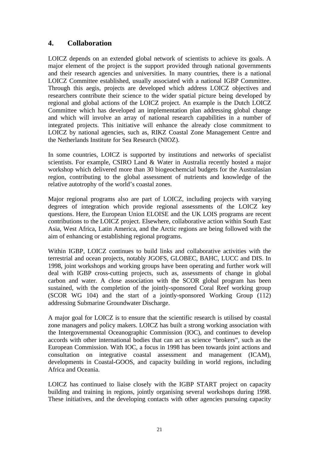## **4. Collaboration**

LOICZ depends on an extended global network of scientists to achieve its goals. A major element of the project is the support provided through national governments and their research agencies and universities. In many countries, there is a national LOICZ Committee established, usually associated with a national IGBP Committee. Through this aegis, projects are developed which address LOICZ objectives and researchers contribute their science to the wider spatial picture being developed by regional and global actions of the LOICZ project. An example is the Dutch LOICZ Committee which has developed an implementation plan addressing global change and which will involve an array of national research capabilities in a number of integrated projects. This initiative will enhance the already close commitment to LOICZ by national agencies, such as, RIKZ Coastal Zone Management Centre and the Netherlands Institute for Sea Research (NIOZ).

In some countries, LOICZ is supported by institutions and networks of specialist scientists. For example, CSIRO Land & Water in Australia recently hosted a major workshop which delivered more than 30 biogeochemcial budgets for the Australasian region, contributing to the global assessment of nutrients and knowledge of the relative autotrophy of the world's coastal zones.

Major regional programs also are part of LOICZ, including projects with varying degrees of integration which provide regional assessments of the LOICZ key questions. Here, the European Union ELOISE and the UK LOIS programs are recent contributions to the LOICZ project. Elsewhere, collaborative action within South East Asia, West Africa, Latin America, and the Arctic regions are being followed with the aim of enhancing or establishing regional programs.

Within IGBP, LOICZ continues to build links and collaborative activities with the terrestrial and ocean projects, notably JGOFS, GLOBEC, BAHC, LUCC and DIS. In 1998, joint workshops and working groups have been operating and further work will deal with IGBP cross-cutting projects, such as, assessments of change in global carbon and water. A close association with the SCOR global program has been sustained, with the completion of the jointly-sponsored Coral Reef working group (SCOR WG 104) and the start of a jointly-sponsored Working Group (112) addressing Submarine Groundwater Discharge.

A major goal for LOICZ is to ensure that the scientific research is utilised by coastal zone managers and policy makers. LOICZ has built a strong working association with the Intergovernmental Oceanographic Commission (IOC), and continues to develop accords with other international bodies that can act as science "brokers", such as the European Commission. With IOC, a focus in 1998 has been towards joint actions and consultation on integrative coastal assessment and management (ICAM), developments in Coastal-GOOS, and capacity building in world regions, including Africa and Oceania.

LOICZ has continued to liaise closely with the IGBP START project on capacity building and training in regions, jointly organising several workshops during 1998. These initiatives, and the developing contacts with other agencies pursuing capacity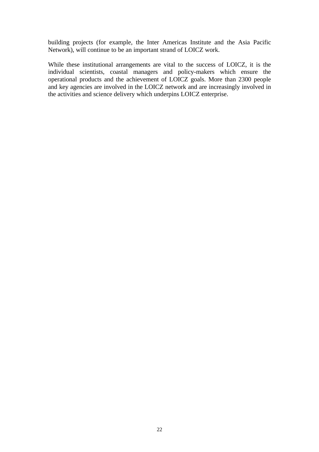building projects (for example, the Inter Americas Institute and the Asia Pacific Network), will continue to be an important strand of LOICZ work.

While these institutional arrangements are vital to the success of LOICZ, it is the individual scientists, coastal managers and policy-makers which ensure the operational products and the achievement of LOICZ goals. More than 2300 people and key agencies are involved in the LOICZ network and are increasingly involved in the activities and science delivery which underpins LOICZ enterprise.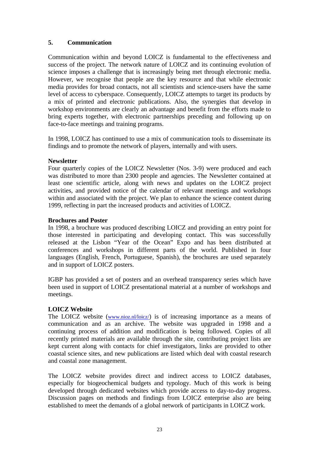#### **5. Communication**

Communication within and beyond LOICZ is fundamental to the effectiveness and success of the project. The network nature of LOICZ and its continuing evolution of science imposes a challenge that is increasingly being met through electronic media. However, we recognise that people are the key resource and that while electronic media provides for broad contacts, not all scientists and science-users have the same level of access to cyberspace. Consequently, LOICZ attempts to target its products by a mix of printed and electronic publications. Also, the synergies that develop in workshop environments are clearly an advantage and benefit from the efforts made to bring experts together, with electronic partnerships preceding and following up on face-to-face meetings and training programs.

In 1998, LOICZ has continued to use a mix of communication tools to disseminate its findings and to promote the network of players, internally and with users.

#### **Newsletter**

Four quarterly copies of the LOICZ Newsletter (Nos. 3-9) were produced and each was distributed to more than 2300 people and agencies. The Newsletter contained at least one scientific article, along with news and updates on the LOICZ project activities, and provided notice of the calendar of relevant meetings and workshops within and associated with the project. We plan to enhance the science content during 1999, reflecting in part the increased products and activities of LOICZ.

#### **Brochures and Poster**

In 1998, a brochure was produced describing LOICZ and providing an entry point for those interested in participating and developing contact. This was successfully released at the Lisbon "Year of the Ocean" Expo and has been distributed at conferences and workshops in different parts of the world. Published in four languages (English, French, Portuguese, Spanish), the brochures are used separately and in support of LOICZ posters.

IGBP has provided a set of posters and an overhead transparency series which have been used in support of LOICZ presentational material at a number of workshops and meetings.

#### **LOICZ Website**

The LOICZ website (www.nioz.nl/loicz/) is of increasing importance as a means of communication and as an archive. The website was upgraded in 1998 and a continuing process of addition and modification is being followed. Copies of all recently printed materials are available through the site, contributing project lists are kept current along with contacts for chief investigators, links are provided to other coastal science sites, and new publications are listed which deal with coastal research and coastal zone management.

The LOICZ website provides direct and indirect access to LOICZ databases, especially for biogeochemical budgets and typology. Much of this work is being developed through dedicated websites which provide access to day-to-day progress. Discussion pages on methods and findings from LOICZ enterprise also are being established to meet the demands of a global network of participants in LOICZ work.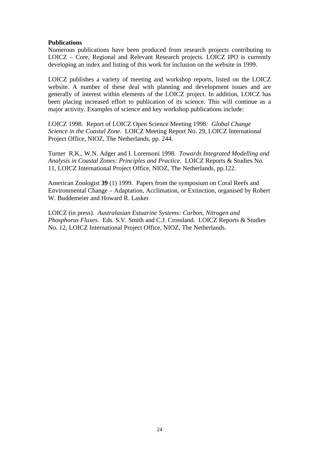#### **Publications**

Numerous publications have been produced from research projects contributing to LOICZ – Core, Regional and Relevant Research projects. LOICZ IPO is currently developing an index and listing of this work for inclusion on the website in 1999.

LOICZ publishes a variety of meeting and workshop reports, listed on the LOICZ website. A number of these deal with planning and development issues and are generally of interest within elements of the LOICZ project. In addition, LOICZ has been placing increased effort to publication of its science. This will continue as a major activity. Examples of science and key workshop publications include:

LOICZ 1998. Report of LOICZ Open Science Meeting 1998*: Global Change Science in the Coastal Zone*. LOICZ Meeting Report No. 29, LOICZ International Project Office, NIOZ, The Netherlands, pp. 244.

Turner R.K., W.N. Adger and I. Lorensoni 1998. *Towards Integrated Modelling and Analysis in Coastal Zones: Principles and Practice*. LOICZ Reports & Studies No. 11, LOICZ International Project Office, NIOZ, The Netherlands, pp.122.

American Zoologist **39** (1) 1999. Papers from the symposium on Coral Reefs and Environmental Change – Adaptation, Acclimation, or Extinction, organised by Robert W. Buddemeier and Howard R. Lasker

LOICZ (in press). *Australasian Estuarine Systems: Carbon, Nitrogen and Phosphorus Fluxes*. Eds. S.V. Smith and C.J. Crossland. LOICZ Reports & Studies No. 12, LOICZ International Project Office, NIOZ, The Netherlands.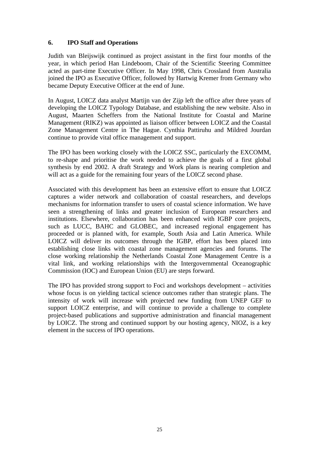#### **6. IPO Staff and Operations**

Judith van Bleijswijk continued as project assistant in the first four months of the year, in which period Han Lindeboom, Chair of the Scientific Steering Committee acted as part-time Executive Officer. In May 1998, Chris Crossland from Australia joined the IPO as Executive Officer, followed by Hartwig Kremer from Germany who became Deputy Executive Officer at the end of June.

In August, LOICZ data analyst Martijn van der Zijp left the office after three years of developing the LOICZ Typology Database, and establishing the new website. Also in August, Maarten Scheffers from the National Institute for Coastal and Marine Management (RIKZ) was appointed as liaison officer between LOICZ and the Coastal Zone Management Centre in The Hague. Cynthia Pattiruhu and Mildred Jourdan continue to provide vital office management and support.

The IPO has been working closely with the LOICZ SSC, particularly the EXCOMM, to re-shape and prioritise the work needed to achieve the goals of a first global synthesis by end 2002. A draft Strategy and Work plans is nearing completion and will act as a guide for the remaining four years of the LOICZ second phase.

Associated with this development has been an extensive effort to ensure that LOICZ captures a wider network and collaboration of coastal researchers, and develops mechanisms for information transfer to users of coastal science information. We have seen a strengthening of links and greater inclusion of European researchers and institutions. Elsewhere, collaboration has been enhanced with IGBP core projects, such as LUCC, BAHC and GLOBEC, and increased regional engagement has proceeded or is planned with, for example, South Asia and Latin America. While LOICZ will deliver its outcomes through the IGBP, effort has been placed into establishing close links with coastal zone management agencies and forums. The close working relationship the Netherlands Coastal Zone Management Centre is a vital link, and working relationships with the Intergovernmental Oceanographic Commission (IOC) and European Union (EU) are steps forward.

The IPO has provided strong support to Foci and workshops development – activities whose focus is on yielding tactical science outcomes rather than strategic plans. The intensity of work will increase with projected new funding from UNEP GEF to support LOICZ enterprise, and will continue to provide a challenge to complete project-based publications and supportive administration and financial management by LOICZ. The strong and continued support by our hosting agency, NIOZ, is a key element in the success of IPO operations.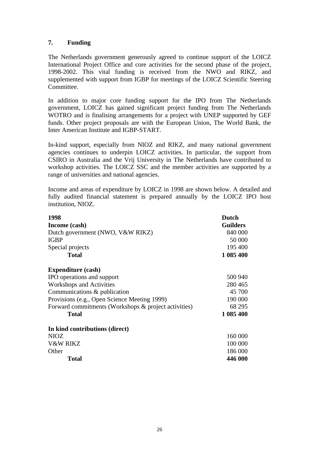#### **7. Funding**

The Netherlands government generously agreed to continue support of the LOICZ International Project Office and core activities for the second phase of the project, 1998-2002. This vital funding is received from the NWO and RIKZ, and supplemented with support from IGBP for meetings of the LOICZ Scientific Steering Committee.

In addition to major core funding support for the IPO from The Netherlands government, LOICZ has gained significant project funding from The Netherlands WOTRO and is finalising arrangements for a project with UNEP supported by GEF funds. Other project proposals are with the European Union, The World Bank, the Inter American Institute and IGBP-START.

In-kind support, especially from NIOZ and RIKZ, and many national government agencies continues to underpin LOICZ activities. In particular, the support from CSIRO in Australia and the Vrij University in The Netherlands have contributed to workshop activities. The LOICZ SSC and the member activities are supported by a range of universities and national agencies.

Income and areas of expenditure by LOICZ in 1998 are shown below. A detailed and fully audited financial statement is prepared annually by the LOICZ IPO host institution, NIOZ.

| 1998                                                 | <b>Dutch</b>    |
|------------------------------------------------------|-----------------|
| Income (cash)                                        | <b>Guilders</b> |
| Dutch government (NWO, V&W RIKZ)                     | 840 000         |
| <b>IGBP</b>                                          | 50 000          |
| Special projects                                     | 195 400         |
| <b>Total</b>                                         | 1 085 400       |
| <b>Expenditure (cash)</b>                            |                 |
| IPO operations and support                           | 500 940         |
| Workshops and Activities                             | 280465          |
| Communications & publication                         | 45 700          |
| Provisions (e.g., Open Science Meeting 1999)         | 190 000         |
| Forward commitments (Workshops & project activities) | 68 295          |
| <b>Total</b>                                         | 1 085 400       |
| In kind contributions (direct)                       |                 |
| NIOZ                                                 | 160 000         |
| V&W RIKZ<br>100 000                                  |                 |
| Other                                                | 186 000         |
| <b>Total</b>                                         | 446 000         |